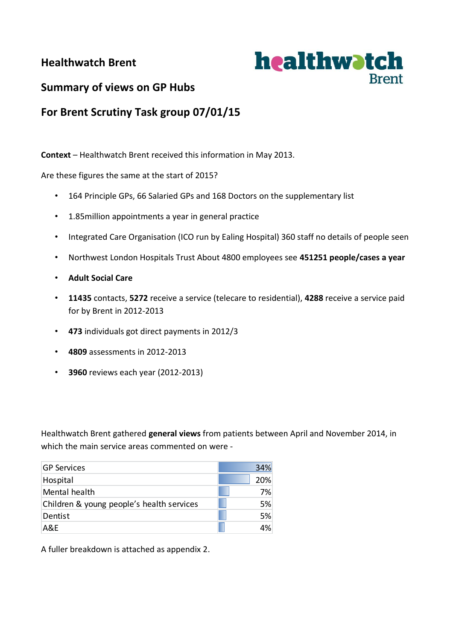# **Healthwatch Brent**



# **Summary of views on GP Hubs**

# **For Brent Scrutiny Task group 07/01/15**

**Context** – Healthwatch Brent received this information in May 2013.

Are these figures the same at the start of 2015?

- 164 Principle GPs, 66 Salaried GPs and 168 Doctors on the supplementary list
- 1.85million appointments a year in general practice
- Integrated Care Organisation (ICO run by Ealing Hospital) 360 staff no details of people seen
- Northwest London Hospitals Trust About 4800 employees see **451251 people/cases a year**
- **Adult Social Care**
- **11435** contacts, **5272** receive a service (telecare to residential), **4288** receive a service paid for by Brent in 2012-2013
- **473** individuals got direct payments in 2012/3
- **4809** assessments in 2012-2013
- **3960** reviews each year (2012-2013)

Healthwatch Brent gathered **general views** from patients between April and November 2014, in which the main service areas commented on were -

| <b>GP Services</b>                        | 34% |
|-------------------------------------------|-----|
| Hospital                                  | 20% |
| Mental health                             | 7%  |
| Children & young people's health services | 5%  |
| Dentist                                   | .5% |
| A&F                                       | 4%  |

A fuller breakdown is attached as appendix 2.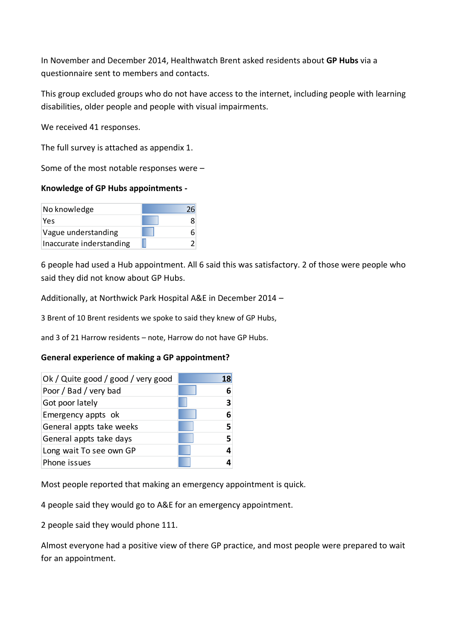In November and December 2014, Healthwatch Brent asked residents about **GP Hubs** via a questionnaire sent to members and contacts.

This group excluded groups who do not have access to the internet, including people with learning disabilities, older people and people with visual impairments.

We received 41 responses.

The full survey is attached as appendix 1.

Some of the most notable responses were –

#### **Knowledge of GP Hubs appointments -**

| No knowledge             |  |
|--------------------------|--|
| Yes                      |  |
| Vague understanding      |  |
| Inaccurate inderstanding |  |

6 people had used a Hub appointment. All 6 said this was satisfactory. 2 of those were people who said they did not know about GP Hubs.

Additionally, at Northwick Park Hospital A&E in December 2014 –

3 Brent of 10 Brent residents we spoke to said they knew of GP Hubs,

and 3 of 21 Harrow residents – note, Harrow do not have GP Hubs.

# **General experience of making a GP appointment?**

| Ok / Quite good / good / very good | 18 |
|------------------------------------|----|
| Poor / Bad / very bad              |    |
| Got poor lately                    |    |
| Emergency appts ok                 |    |
| General appts take weeks           |    |
| General appts take days            |    |
| Long wait To see own GP            |    |
| Phone issues                       |    |

Most people reported that making an emergency appointment is quick.

4 people said they would go to A&E for an emergency appointment.

2 people said they would phone 111.

Almost everyone had a positive view of there GP practice, and most people were prepared to wait for an appointment.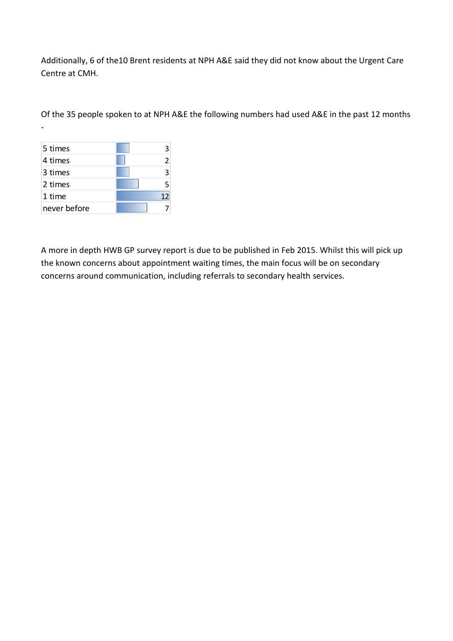Additionally, 6 of the10 Brent residents at NPH A&E said they did not know about the Urgent Care Centre at CMH.

Of the 35 people spoken to at NPH A&E the following numbers had used A&E in the past 12 months

| 5 times      |   |
|--------------|---|
| 4 times      |   |
| 3 times      | З |
| 2 times      | 5 |
| 1 time       |   |
| never before |   |

-

A more in depth HWB GP survey report is due to be published in Feb 2015. Whilst this will pick up the known concerns about appointment waiting times, the main focus will be on secondary concerns around communication, including referrals to secondary health services.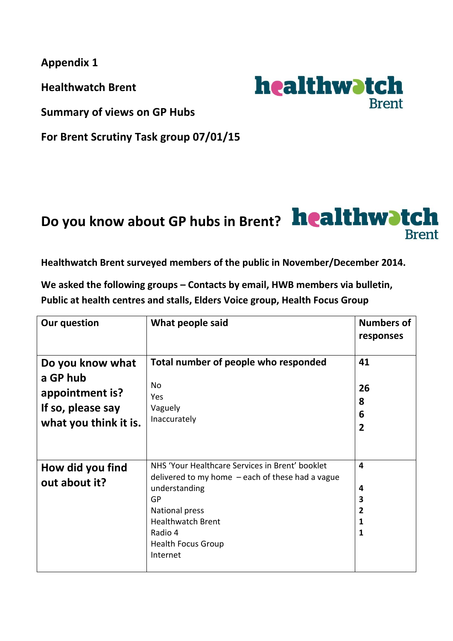**Appendix 1**

**Healthwatch Brent** 

**Summary of views on GP Hubs**

**For Brent Scrutiny Task group 07/01/15**

# Do you know about GP hubs in Brent? healthwatch **Brent**

**Healthwatch Brent surveyed members of the public in November/December 2014.**

We asked the following groups – Contacts by email, HWB members via bulletin, **Public at health centres and stalls, Elders Voice group, Health Focus Group**

| <b>Our question</b>                                                                           | What people said                                                                                                                                                                                                               | <b>Numbers of</b><br>responses                                |
|-----------------------------------------------------------------------------------------------|--------------------------------------------------------------------------------------------------------------------------------------------------------------------------------------------------------------------------------|---------------------------------------------------------------|
| Do you know what<br>a GP hub<br>appointment is?<br>If so, please say<br>what you think it is. | Total number of people who responded<br><b>No</b><br>Yes<br>Vaguely<br>Inaccurately                                                                                                                                            | 41<br>26<br>8<br>6<br>$\overline{2}$                          |
| How did you find<br>out about it?                                                             | NHS 'Your Healthcare Services in Brent' booklet<br>delivered to my home $-$ each of these had a vague<br>understanding<br>GP<br>National press<br><b>Healthwatch Brent</b><br>Radio 4<br><b>Health Focus Group</b><br>Internet | $\overline{\mathbf{4}}$<br>4<br>3<br>$\overline{2}$<br>1<br>1 |

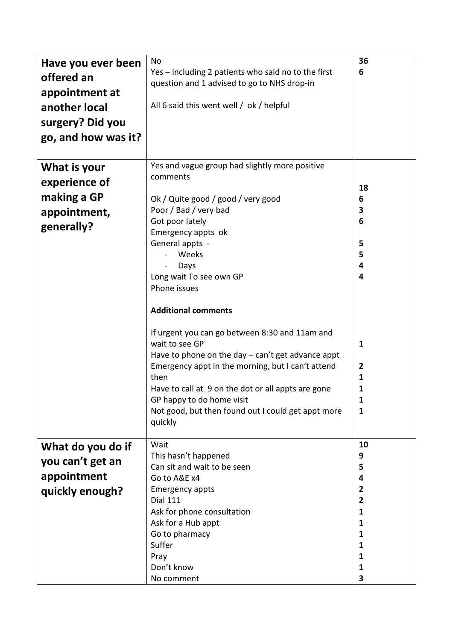| Have you ever been  | No                                                  | 36             |
|---------------------|-----------------------------------------------------|----------------|
| offered an          | Yes - including 2 patients who said no to the first |                |
| appointment at      | question and 1 advised to go to NHS drop-in         |                |
|                     | All 6 said this went well / ok / helpful            |                |
| another local       |                                                     |                |
| surgery? Did you    |                                                     |                |
| go, and how was it? |                                                     |                |
|                     |                                                     |                |
| What is your        | Yes and vague group had slightly more positive      |                |
| experience of       | comments                                            |                |
|                     |                                                     | 18             |
| making a GP         | Ok / Quite good / good / very good                  | 6              |
| appointment,        | Poor / Bad / very bad                               | 3              |
| generally?          | Got poor lately                                     | 6              |
|                     | Emergency appts ok<br>General appts -               | 5              |
|                     | Weeks                                               | 5              |
|                     | Days                                                | 4              |
|                     | Long wait To see own GP                             | 4              |
|                     | Phone issues                                        |                |
|                     |                                                     |                |
|                     | <b>Additional comments</b>                          |                |
|                     | If urgent you can go between 8:30 and 11am and      |                |
|                     | wait to see GP                                      | $\mathbf{1}$   |
|                     | Have to phone on the day - can't get advance appt   |                |
|                     | Emergency appt in the morning, but I can't attend   | 2              |
|                     | then                                                | 1              |
|                     | Have to call at 9 on the dot or all appts are gone  | 1              |
|                     | GP happy to do home visit                           | 1              |
|                     | Not good, but then found out I could get appt more  | $\mathbf{1}$   |
|                     | quickly                                             |                |
| What do you do if   | Wait                                                | 10             |
|                     | This hasn't happened                                | 9              |
| you can't get an    | Can sit and wait to be seen                         | 5              |
| appointment         | Go to A&E x4                                        | 4              |
| quickly enough?     | <b>Emergency appts</b>                              | 2              |
|                     | <b>Dial 111</b>                                     | $\overline{2}$ |
|                     | Ask for phone consultation                          | 1              |
|                     | Ask for a Hub appt                                  | $\mathbf{1}$   |
|                     | Go to pharmacy                                      | 1              |
|                     | Suffer                                              | 1<br>1         |
|                     | Pray<br>Don't know                                  | 1              |
|                     | No comment                                          | 3              |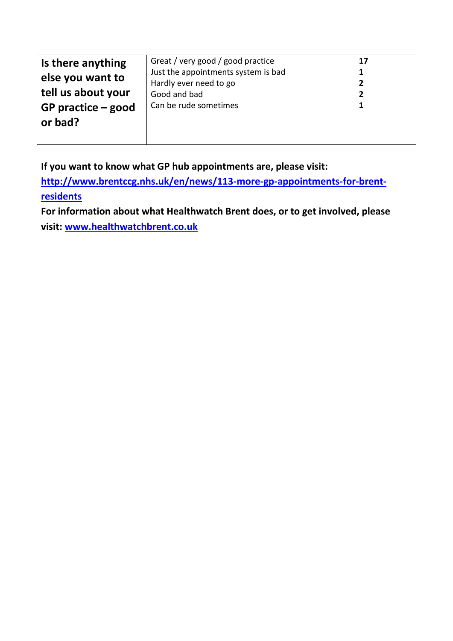| Is there anything                             | Great / very good / good practice                             | 17 |
|-----------------------------------------------|---------------------------------------------------------------|----|
| else you want to                              | Just the appointments system is bad<br>Hardly ever need to go |    |
| tell us about your                            | Good and bad                                                  |    |
| Can be rude sometimes<br>GP practice $-$ good |                                                               |    |
| or bad?                                       |                                                               |    |
|                                               |                                                               |    |

**If you want to know what GP hub appointments are, please visit:** 

**[http://www.brentccg.nhs.uk/en/news/113-more-gp-appointments-for-brent](http://www.brentccg.nhs.uk/en/news/113-more-gp-appointments-for-brent-residents)[residents](http://www.brentccg.nhs.uk/en/news/113-more-gp-appointments-for-brent-residents)**

**For information about what Healthwatch Brent does, or to get involved, please visit: [www.healthwatchbrent.co.uk](http://www.healthwatchbrent.co.uk/)**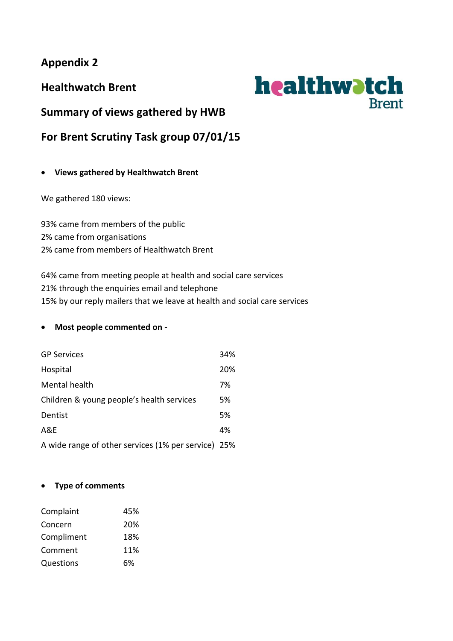**Appendix 2**

**Healthwatch Brent** 



**Summary of views gathered by HWB**

**For Brent Scrutiny Task group 07/01/15**

# **Views gathered by Healthwatch Brent**

We gathered 180 views:

93% came from members of the public 2% came from organisations 2% came from members of Healthwatch Brent

64% came from meeting people at health and social care services 21% through the enquiries email and telephone 15% by our reply mailers that we leave at health and social care services

# **Most people commented on -**

| <b>GP Services</b>                                  | 34% |
|-----------------------------------------------------|-----|
| Hospital                                            | 20% |
| Mental health                                       | 7%  |
| Children & young people's health services           | 5%  |
| Dentist                                             | 5%  |
| A&E                                                 | 4%  |
| A wide range of other services (1% per service) 25% |     |

# **Type of comments**

| Complaint  | 45% |
|------------|-----|
| Concern    | 20% |
| Compliment | 18% |
| Comment    | 11% |
| Questions  | 6%  |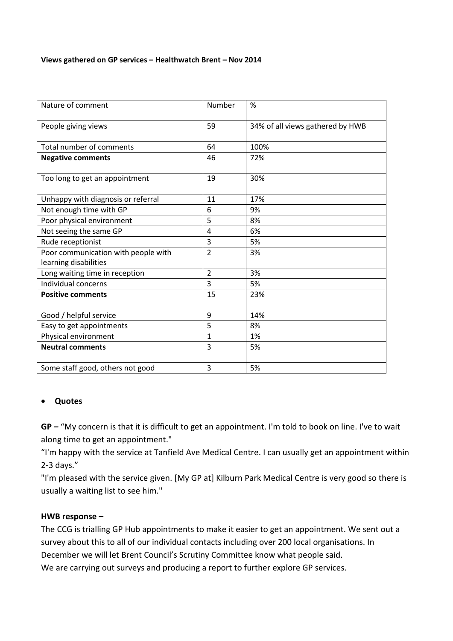#### **Views gathered on GP services – Healthwatch Brent – Nov 2014**

| Nature of comment                                            | Number         | %                                |
|--------------------------------------------------------------|----------------|----------------------------------|
| People giving views                                          | 59             | 34% of all views gathered by HWB |
| Total number of comments                                     | 64             | 100%                             |
| <b>Negative comments</b>                                     | 46             | 72%                              |
| Too long to get an appointment                               | 19             | 30%                              |
| Unhappy with diagnosis or referral                           | 11             | 17%                              |
| Not enough time with GP                                      | 6              | 9%                               |
| Poor physical environment                                    | 5              | 8%                               |
| Not seeing the same GP                                       | 4              | 6%                               |
| Rude receptionist                                            | 3              | 5%                               |
| Poor communication with people with<br>learning disabilities | $\overline{2}$ | 3%                               |
| Long waiting time in reception                               | 2              | 3%                               |
| Individual concerns                                          | 3              | 5%                               |
| <b>Positive comments</b>                                     | 15             | 23%                              |
| Good / helpful service                                       | 9              | 14%                              |
| Easy to get appointments                                     | 5              | 8%                               |
| Physical environment                                         | 1              | 1%                               |
| <b>Neutral comments</b>                                      | 3              | 5%                               |
| Some staff good, others not good                             | 3              | 5%                               |

#### **Quotes**

**GP –** "My concern is that it is difficult to get an appointment. I'm told to book on line. I've to wait along time to get an appointment."

"I'm happy with the service at Tanfield Ave Medical Centre. I can usually get an appointment within 2-3 days."

"I'm pleased with the service given. [My GP at] Kilburn Park Medical Centre is very good so there is usually a waiting list to see him."

# **HWB response –**

The CCG is trialling GP Hub appointments to make it easier to get an appointment. We sent out a survey about this to all of our individual contacts including over 200 local organisations. In December we will let Brent Council's Scrutiny Committee know what people said. We are carrying out surveys and producing a report to further explore GP services.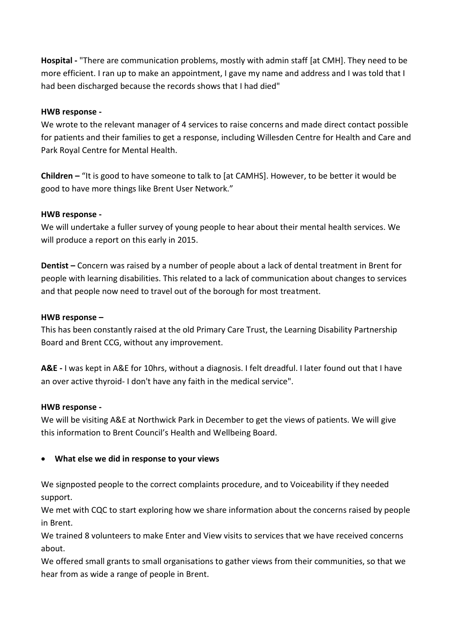**Hospital -** "There are communication problems, mostly with admin staff [at CMH]. They need to be more efficient. I ran up to make an appointment, I gave my name and address and I was told that I had been discharged because the records shows that I had died"

### **HWB response -**

We wrote to the relevant manager of 4 services to raise concerns and made direct contact possible for patients and their families to get a response, including Willesden Centre for Health and Care and Park Royal Centre for Mental Health.

**Children –** "It is good to have someone to talk to [at CAMHS]. However, to be better it would be good to have more things like Brent User Network."

#### **HWB response -**

We will undertake a fuller survey of young people to hear about their mental health services. We will produce a report on this early in 2015.

**Dentist –** Concern was raised by a number of people about a lack of dental treatment in Brent for people with learning disabilities. This related to a lack of communication about changes to services and that people now need to travel out of the borough for most treatment.

#### **HWB response –**

This has been constantly raised at the old Primary Care Trust, the Learning Disability Partnership Board and Brent CCG, without any improvement.

**A&E -** I was kept in A&E for 10hrs, without a diagnosis. I felt dreadful. I later found out that I have an over active thyroid- I don't have any faith in the medical service".

#### **HWB response -**

We will be visiting A&E at Northwick Park in December to get the views of patients. We will give this information to Brent Council's Health and Wellbeing Board.

# **What else we did in response to your views**

We signposted people to the correct complaints procedure, and to Voiceability if they needed support.

We met with CQC to start exploring how we share information about the concerns raised by people in Brent.

We trained 8 volunteers to make Enter and View visits to services that we have received concerns about.

We offered small grants to small organisations to gather views from their communities, so that we hear from as wide a range of people in Brent.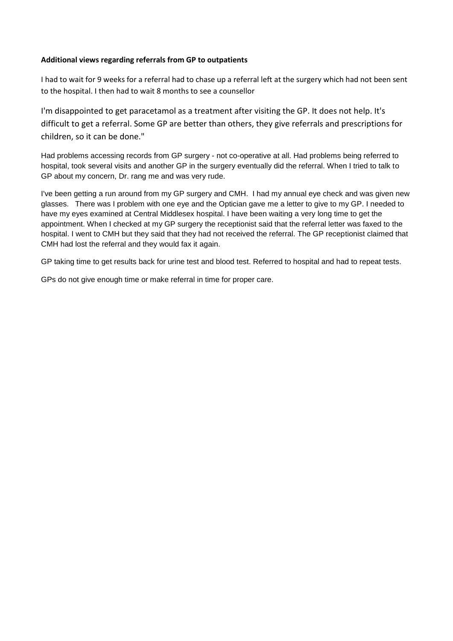#### **Additional views regarding referrals from GP to outpatients**

I had to wait for 9 weeks for a referral had to chase up a referral left at the surgery which had not been sent to the hospital. I then had to wait 8 months to see a counsellor

I'm disappointed to get paracetamol as a treatment after visiting the GP. It does not help. It's difficult to get a referral. Some GP are better than others, they give referrals and prescriptions for children, so it can be done."

Had problems accessing records from GP surgery - not co-operative at all. Had problems being referred to hospital, took several visits and another GP in the surgery eventually did the referral. When I tried to talk to GP about my concern, Dr. rang me and was very rude.

I've been getting a run around from my GP surgery and CMH. I had my annual eye check and was given new glasses. There was I problem with one eye and the Optician gave me a letter to give to my GP. I needed to have my eyes examined at Central Middlesex hospital. I have been waiting a very long time to get the appointment. When I checked at my GP surgery the receptionist said that the referral letter was faxed to the hospital. I went to CMH but they said that they had not received the referral. The GP receptionist claimed that CMH had lost the referral and they would fax it again.

GP taking time to get results back for urine test and blood test. Referred to hospital and had to repeat tests.

GPs do not give enough time or make referral in time for proper care.